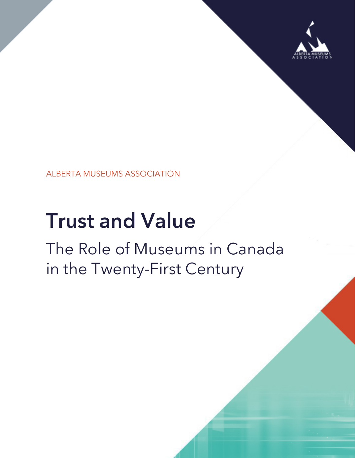

ALBERTA MUSEUMS ASSOCIATION

# **Trust and Value**

## The Role of Museums in Canada in the Twenty-First Century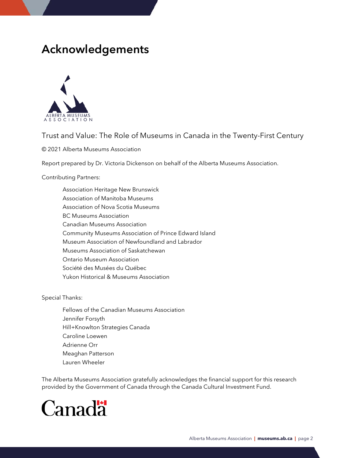### **Acknowledgements**



#### Trust and Value: The Role of Museums in Canada in the Twenty-First Century

© 2021 Alberta Museums Association

Report prepared by Dr. Victoria Dickenson on behalf of the Alberta Museums Association.

#### Contributing Partners:

Association Heritage New Brunswick Association of Manitoba Museums Association of Nova Scotia Museums BC Museums Association Canadian Museums Association Community Museums Association of Prince Edward Island Museum Association of Newfoundland and Labrador Museums Association of Saskatchewan Ontario Museum Association Société des Musées du Québec Yukon Historical & Museums Association

Special Thanks:

Fellows of the Canadian Museums Association Jennifer Forsyth Hill+Knowlton Strategies Canada Caroline Loewen Adrienne Orr Meaghan Patterson Lauren Wheeler

The Alberta Museums Association gratefully acknowledges the financial support for this research provided by the Government of Canada through the Canada Cultural Investment Fund.

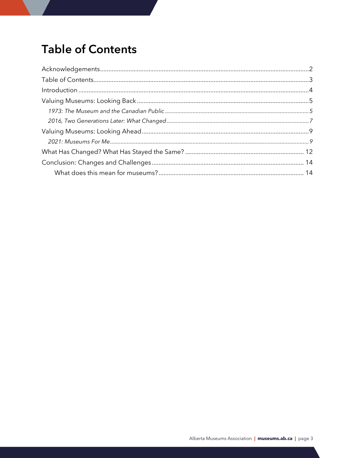### <span id="page-2-0"></span>**Table of Contents**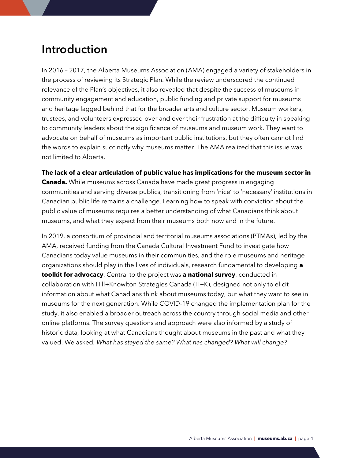### <span id="page-3-0"></span>**Introduction**

In 2016 – 2017, the Alberta Museums Association (AMA) engaged a variety of stakeholders in the process of reviewing its Strategic Plan. While the review underscored the continued relevance of the Plan's objectives, it also revealed that despite the success of museums in community engagement and education, public funding and private support for museums and heritage lagged behind that for the broader arts and culture sector. Museum workers, trustees, and volunteers expressed over and over their frustration at the difficulty in speaking to community leaders about the significance of museums and museum work. They want to advocate on behalf of museums as important public institutions, but they often cannot find the words to explain succinctly why museums matter. The AMA realized that this issue was not limited to Alberta.

**The lack of a clear articulation of public value has implications for the museum sector in Canada.** While museums across Canada have made great progress in engaging communities and serving diverse publics, transitioning from 'nice' to 'necessary' institutions in Canadian public life remains a challenge. Learning how to speak with conviction about the public value of museums requires a better understanding of what Canadians think about museums, and what they expect from their museums both now and in the future.

In 2019, a consortium of provincial and territorial museums associations (PTMAs), led by the AMA, received funding from the Canada Cultural Investment Fund to investigate how Canadians today value museums in their communities, and the role museums and heritage organizations should play in the lives of individuals, research fundamental to developing **a toolkit for advocacy**. Central to the project was **a national survey**, conducted in collaboration with Hill+Knowlton Strategies Canada (H+K), designed not only to elicit information about what Canadians think about museums today, but what they want to see in museums for the next generation. While COVID-19 changed the implementation plan for the study, it also enabled a broader outreach across the country through social media and other online platforms. The survey questions and approach were also informed by a study of historic data, looking at what Canadians thought about museums in the past and what they valued. We asked, *What has stayed the same? What has changed? What will change?*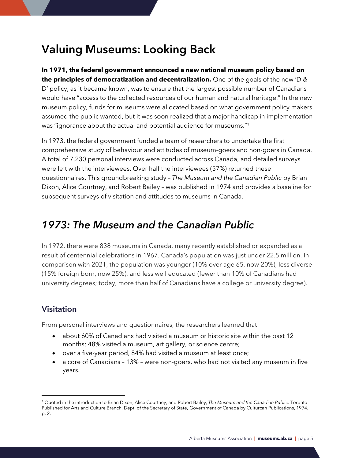### <span id="page-4-0"></span>**Valuing Museums: Looking Back**

**In 1971, the federal government announced a new national museum policy based on the principles of democratization and decentralization.** One of the goals of the new 'D & D' policy, as it became known, was to ensure that the largest possible number of Canadians would have "access to the collected resources of our human and natural heritage." In the new museum policy, funds for museums were allocated based on what government policy makers assumed the public wanted, but it was soon realized that a major handicap in implementation was "ignorance about the actual and potential audience for museums."<sup>1</sup>

In 1973, the federal government funded a team of researchers to undertake the first comprehensive study of behaviour and attitudes of museum-goers and non-goers in Canada. A total of 7,230 personal interviews were conducted across Canada, and detailed surveys were left with the interviewees. Over half the interviewees (57%) returned these questionnaires. This groundbreaking study – *The Museum and the Canadian Public* by Brian Dixon, Alice Courtney, and Robert Bailey – was published in 1974 and provides a baseline for subsequent surveys of visitation and attitudes to museums in Canada.

### <span id="page-4-1"></span>*1973: The Museum and the Canadian Public*

In 1972, there were 838 museums in Canada, many recently established or expanded as a result of centennial celebrations in 1967. Canada's population was just under 22.5 million. In comparison with 2021, the population was younger (10% over age 65, now 20%), less diverse (15% foreign born, now 25%), and less well educated (fewer than 10% of Canadians had university degrees; today, more than half of Canadians have a college or university degree).

#### **Visitation**

From personal interviews and questionnaires, the researchers learned that

- about 60% of Canadians had visited a museum or historic site within the past 12 months; 48% visited a museum, art gallery, or science centre;
- over a five-year period, 84% had visited a museum at least once;
- a core of Canadians 13% were non-goers, who had not visited any museum in five years.

<sup>1</sup> Quoted in the introduction to Brian Dixon, Alice Courtney, and Robert Bailey, *The Museum and the Canadian Public*. Toronto: Published for Arts and Culture Branch, Dept. of the Secretary of State, Government of Canada by Culturcan Publications, 1974, p. 2.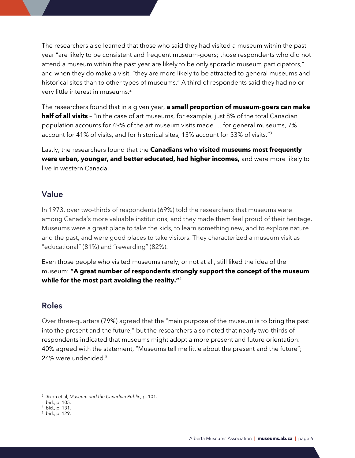The researchers also learned that those who said they had visited a museum within the past year "are likely to be consistent and frequent museum-goers; those respondents who did not attend a museum within the past year are likely to be only sporadic museum participators," and when they do make a visit, "they are more likely to be attracted to general museums and historical sites than to other types of museums." A third of respondents said they had no or very little interest in museums.<sup>2</sup>

The researchers found that in a given year, **a small proportion of museum-goers can make half of all visits** - "in the case of art museums, for example, just 8% of the total Canadian population accounts for 49% of the art museum visits made … for general museums, 7% account for 41% of visits, and for historical sites, 13% account for 53% of visits."<sup>3</sup>

Lastly, the researchers found that the **Canadians who visited museums most frequently were urban, younger, and better educated, had higher incomes,** and were more likely to live in western Canada.

#### **Value**

In 1973, over two-thirds of respondents (69%) told the researchers that museums were among Canada's more valuable institutions, and they made them feel proud of their heritage. Museums were a great place to take the kids, to learn something new, and to explore nature and the past, and were good places to take visitors. They characterized a museum visit as "educational" (81%) and "rewarding" (82%).

Even those people who visited museums rarely, or not at all, still liked the idea of the museum: **"A great number of respondents strongly support the concept of the museum while for the most part avoiding the reality."**<sup>4</sup>

#### **Roles**

Over three-quarters (79%) agreed that the "main purpose of the museum is to bring the past into the present and the future," but the researchers also noted that nearly two-thirds of respondents indicated that museums might adopt a more present and future orientation: 40% agreed with the statement, "Museums tell me little about the present and the future"; 24% were undecided.<sup>5</sup>

<sup>2</sup> Dixon et al, *Museum and the Canadian Public*, p. 101.

<sup>3</sup> Ibid., p. 105.

<sup>4</sup> Ibid., p. 131.

<sup>5</sup> Ibid., p. 129.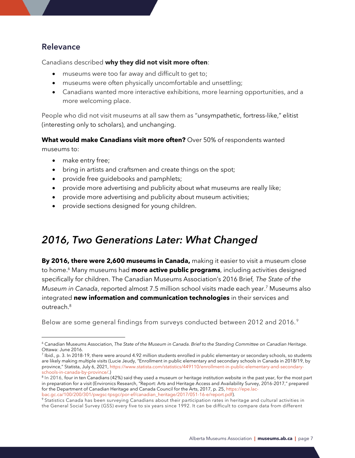#### **Relevance**

Canadians described **why they did not visit more often**:

- museums were too far away and difficult to get to;
- museums were often physically uncomfortable and unsettling;
- Canadians wanted more interactive exhibitions, more learning opportunities, and a more welcoming place.

People who did not visit museums at all saw them as "unsympathetic, fortress-like," elitist (interesting only to scholars), and unchanging.

**What would make Canadians visit more often?** Over 50% of respondents wanted museums to:

- make entry free;
- bring in artists and craftsmen and create things on the spot;
- provide free guidebooks and pamphlets;
- provide more advertising and publicity about what museums are really like;
- provide more advertising and publicity about museum activities;
- provide sections designed for young children.

### <span id="page-6-0"></span>*2016, Two Generations Later: What Changed*

**By 2016, there were 2,600 museums in Canada,** making it easier to visit a museum close to home.<sup>6</sup> Many museums had **more active public programs**, including activities designed specifically for children. The Canadian Museums Association's 2016 Brief*, The State of the Museum in Canada*, reported almost 7.5 million school visits made each year. <sup>7</sup> Museums also integrated **new information and communication technologies** in their services and outreach.<sup>8</sup>

Below are some general findings from surveys conducted between 2012 and 2016. <sup>9</sup>

<sup>&</sup>lt;sup>6</sup> Canadian Museums Association, The State of the Museum in Canada. Brief to the Standing Committee on Canadian Heritage. Ottawa: June 2016.

 $^7$  Ibid., p. 3. In 2018-19, there were around 4.92 million students enrolled in public elementary or secondary schools, so students are likely making multiple visits (Lucie Jeudy, "Enrollment in public elementary and secondary schools in Canada in 2018/19, by province," Statista, July 6, 2021, [https://www.statista.com/statistics/449110/enrollment-in-public-elementary-and-secondary](https://www.statista.com/statistics/449110/enrollment-in-public-elementary-and-secondary-schools-in-canada-by-province/))[schools-in-canada-by-province/.](https://www.statista.com/statistics/449110/enrollment-in-public-elementary-and-secondary-schools-in-canada-by-province/)))

<sup>&</sup>lt;sup>8</sup> In 2016, four in ten Canadians (42%) said they used a museum or heritage institution website in the past year, for the most part in preparation for a visit (Environics Research, "Report: Arts and Heritage Access and Availability Survey, 2016-2017," prepared for the Department of Canadian Heritage and Canada Council for the Arts, 2017, p. 25[, https://epe.lac](https://epe.lac-bac.gc.ca/100/200/301/pwgsc-tpsgc/por-ef/canadian_heritage/2017/051-16-e/report.pdf)[bac.gc.ca/100/200/301/pwgsc-tpsgc/por-ef/canadian\\_heritage/2017/051-16-e/report.pdf\)](https://epe.lac-bac.gc.ca/100/200/301/pwgsc-tpsgc/por-ef/canadian_heritage/2017/051-16-e/report.pdf).

<sup>&</sup>lt;sup>9</sup> Statistics Canada has been surveying Canadians about their participation rates in heritage and cultural activities in the General Social Survey (GSS) every five to six years since 1992. It can be difficult to compare data from different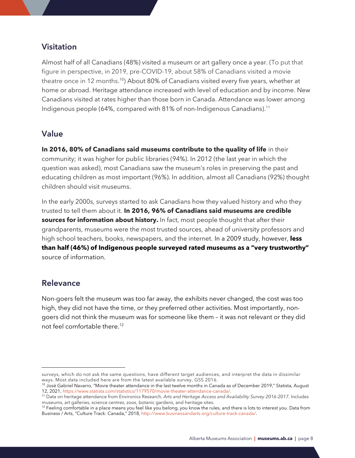#### **Visitation**

Almost half of all Canadians (48%) visited a museum or art gallery once a year. (To put that figure in perspective, in 2019, pre-COVID-19, about 58% of Canadians visited a movie theatre once in 12 months.<sup>10</sup>) About 80% of Canadians visited every five years, whether at home or abroad. Heritage attendance increased with level of education and by income. New Canadians visited at rates higher than those born in Canada. Attendance was lower among Indigenous people (64%, compared with 81% of non-Indigenous Canadians).<sup>11</sup>

#### **Value**

**In 2016, 80% of Canadians said museums contribute to the quality of life** in their community; it was higher for public libraries (94%). In 2012 (the last year in which the question was asked), most Canadians saw the museum's roles in preserving the past and educating children as most important (96%). In addition, almost all Canadians (92%) thought children should visit museums.

In the early 2000s, surveys started to ask Canadians how they valued history and who they trusted to tell them about it. **In 2016, 96% of Canadians said museums are credible sources for information about history.** In fact, most people thought that after their grandparents, museums were the most trusted sources, ahead of university professors and high school teachers, books, newspapers, and the internet. In a 2009 study, however, **less than half (46%) of Indigenous people surveyed rated museums as a "very trustworthy"** source of information.

#### **Relevance**

Non-goers felt the museum was too far away, the exhibits never changed, the cost was too high, they did not have the time, or they preferred other activities. Most importantly, nongoers did not think the museum was for someone like them – it was not relevant or they did not feel comfortable there.<sup>12</sup>

surveys, which do not ask the same questions, have different target audiences, and interpret the data in dissimilar ways. Most data included here are from the latest available survey, GSS 2016.

 $10$  José Gabriel Navarro, "Movie theater attendance in the last twelve months in Canada as of December 2019," Statista, August 12, 2021, [https://www.statista.com/statistics/1179570/movie-theater-attendance-canada/.](https://www.statista.com/statistics/1179570/movie-theater-attendance-canada/)

<sup>11</sup> Data on heritage attendance from Environics Research, *Arts and Heritage Access and Availability Survey 2016-2017.* Includes museums, art galleries, science centres, zoos, botanic gardens, and heritage sites.

 $12$  Feeling comfortable in a place means you feel like you belong, you know the rules, and there is lots to interest you. Data from Business / Arts, "Culture Track: Canada," 2018, [http://www.businessandarts.org/culture-track-canada/.](http://www.businessandarts.org/culture-track-canada/)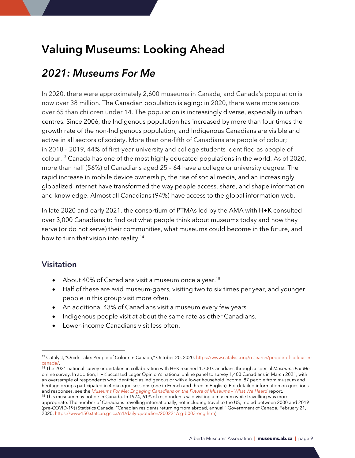### <span id="page-8-0"></span>**Valuing Museums: Looking Ahead**

### <span id="page-8-1"></span>*2021: Museums For Me*

In 2020, there were approximately 2,600 museums in Canada, and Canada's population is now over 38 million. The Canadian population is aging: in 2020, there were more seniors over 65 than children under 14. The population is increasingly diverse, especially in urban centres. Since 2006, the Indigenous population has increased by more than four times the growth rate of the non-Indigenous population, and Indigenous Canadians are visible and active in all sectors of society. More than one-fifth of Canadians are people of colour; in 2018 – 2019, 44% of first-year university and college students identified as people of colour.<sup>13</sup> Canada has one of the most highly educated populations in the world. As of 2020, more than half (56%) of Canadians aged 25 – 64 have a college or university degree. The rapid increase in mobile device ownership, the rise of social media, and an increasingly globalized internet have transformed the way people access, share, and shape information and knowledge. Almost all Canadians (94%) have access to the global information web.

In late 2020 and early 2021, the consortium of PTMAs led by the AMA with H+K consulted over 3,000 Canadians to find out what people think about museums today and how they serve (or do not serve) their communities, what museums could become in the future, and how to turn that vision into reality.<sup>14</sup>

#### **Visitation**

- About 40% of Canadians visit a museum once a year.<sup>15</sup>
- Half of these are avid museum-goers, visiting two to six times per year, and younger people in this group visit more often.
- An additional 43% of Canadians visit a museum every few years.
- Indigenous people visit at about the same rate as other Canadians.
- Lower-income Canadians visit less often.

<sup>13</sup> Catalyst, "Quick Take: People of Colour in Canada," October 20, 2020, [https://www.catalyst.org/research/people-of-colour-in](https://www.catalyst.org/research/people-of-colour-in-canada/)[canada/.](https://www.catalyst.org/research/people-of-colour-in-canada/)

<sup>14</sup> The 2021 national survey undertaken in collaboration with H+K reached 1,700 Canadians through a special *Museums For Me* online survey. In addition, H+K accessed Leger Opinion's national online panel to survey 1,400 Canadians in March 2021, with an oversample of respondents who identified as Indigenous or with a lower household income. 87 people from museum and heritage groups participated in 4 dialogue sessions (one in French and three in English). For detailed information on questions and responses, see the *Museums For Me: Engaging [Canadians](https://museums.ab.ca/media/163967/what_we_heard_report_wappendix.pdf) on the Future of Museums – What We Heard* report.

<sup>&</sup>lt;sup>15</sup> This museum may not be in Canada. In 1974, 61% of respondents said visiting a museum while travelling was more appropriate. The number of Canadians travelling internationally, not including travel to the US, tripled between 2000 and 2019 (pre-COVID-19) (Statistics Canada, "Canadian residents returning from abroad, annual," Government of Canada, February 21, 2020, [https://www150.statcan.gc.ca/n1/daily-quotidien/200221/cg-b003-eng.htm\)](https://www150.statcan.gc.ca/n1/daily-quotidien/200221/cg-b003-eng.htm).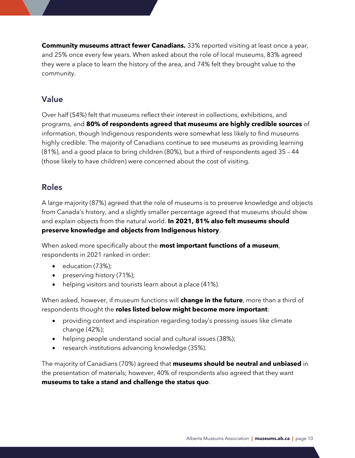**Community museums attract fewer Canadians.** 33% reported visiting at least once a year, and 25% once every few years. When asked about the role of local museums, 83% agreed they were a place to learn the history of the area, and 74% felt they brought value to the community.

#### **Value**

Over half (54%) felt that museums reflect their interest in collections, exhibitions, and programs, and **80% of respondents agreed that museums are highly credible sources** of information, though Indigenous respondents were somewhat less likely to find museums highly credible. The majority of Canadians continue to see museums as providing learning (81%), and a good place to bring children (80%), but a third of respondents aged 35 – 44 (those likely to have children) were concerned about the cost of visiting.

#### **Roles**

A large majority (87%) agreed that the role of museums is to preserve knowledge and objects from Canada's history, and a slightly smaller percentage agreed that museums should show and explain objects from the natural world. **In 2021, 81% also felt museums should preserve knowledge and objects from Indigenous history**.

When asked more specifically about the **most important functions of a museum**, respondents in 2021 ranked in order:

- education (73%);
- preserving history (71%);
- helping visitors and tourists learn about a place (41%).

When asked, however, if museum functions will **change in the future**, more than a third of respondents thought the **roles listed below might become more important**:

- providing context and inspiration regarding today's pressing issues like climate change (42%);
- helping people understand social and cultural issues (38%);
- research institutions advancing knowledge (35%).

The majority of Canadians (70%) agreed that **museums should be neutral and unbiased** in the presentation of materials; however, 40% of respondents also agreed that they want **museums to take a stand and challenge the status quo**.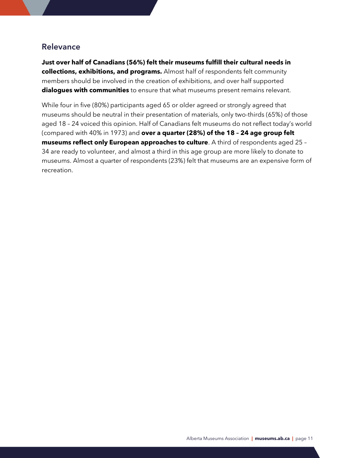#### **Relevance**

**Just over half of Canadians (56%) felt their museums fulfill their cultural needs in collections, exhibitions, and programs.** Almost half of respondents felt community members should be involved in the creation of exhibitions, and over half supported **dialogues with communities** to ensure that what museums present remains relevant.

While four in five (80%) participants aged 65 or older agreed or strongly agreed that museums should be neutral in their presentation of materials, only two-thirds (65%) of those aged 18 – 24 voiced this opinion. Half of Canadians felt museums do not reflect today's world (compared with 40% in 1973) and **over a quarter (28%) of the 18 – 24 age group felt museums reflect only European approaches to culture**. A third of respondents aged 25 – 34 are ready to volunteer, and almost a third in this age group are more likely to donate to museums. Almost a quarter of respondents (23%) felt that museums are an expensive form of recreation.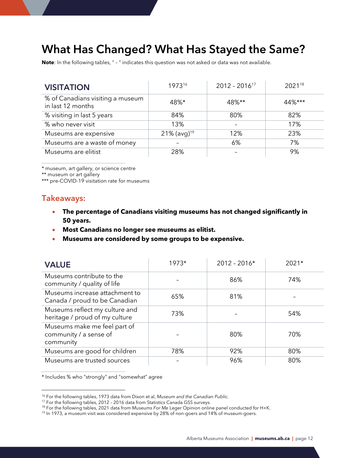### <span id="page-11-0"></span>**What Has Changed? What Has Stayed the Same?**

**Note**: In the following tables, " – " indicates this question was not asked or data was not available.

| <b>VISITATION</b>                                     | 197316                     | $2012 - 2016$ <sup>17</sup> | 202118    |
|-------------------------------------------------------|----------------------------|-----------------------------|-----------|
| % of Canadians visiting a museum<br>in last 12 months | 48%*                       | 48%**                       | $44\%***$ |
| % visiting in last 5 years                            | 84%                        | 80%                         | 82%       |
| % who never visit                                     | 13%                        |                             | 17%       |
| Museums are expensive                                 | $21\%$ (avg) <sup>19</sup> | 12%                         | 23%       |
| Museums are a waste of money                          |                            | 6%                          | 7%        |
| Museums are elitist                                   | 28%                        |                             | 9%        |

\* museum, art gallery, or science centre

\*\* museum or art gallery

\*\*\* pre-COVID-19 visitation rate for museums

#### **Takeaways:**

- **The percentage of Canadians visiting museums has not changed significantly in 50 years.**
- **Most Canadians no longer see museums as elitist.**
- **Museums are considered by some groups to be expensive.**

| <b>VALUE</b>                                                        | $1973*$ | $2012 - 2016*$ | $2021*$ |
|---------------------------------------------------------------------|---------|----------------|---------|
| Museums contribute to the<br>community / quality of life            |         | 86%            | 74%     |
| Museums increase attachment to<br>Canada / proud to be Canadian     | 65%     | 81%            |         |
| Museums reflect my culture and<br>heritage / proud of my culture    | 73%     |                | 54%     |
| Museums make me feel part of<br>community / a sense of<br>community |         | 80%            | 70%     |
| Museums are good for children                                       | 78%     | 92%            | 80%     |
| Museums are trusted sources                                         |         | 96%            | 80%     |

\* Includes % who "strongly" and "somewhat" agree

<sup>16</sup> For the following tables, 1973 data from Dixon et al, *Museum and the Canadian Public.*

<sup>&</sup>lt;sup>17</sup> For the following tables, 2012 - 2016 data from Statistics Canada GSS surveys.

<sup>18</sup> For the following tables, 2021 data from *Museums For Me* Leger Opinion online panel conducted for H+K.

<sup>&</sup>lt;sup>19</sup> In 1973, a museum visit was considered expensive by 28% of non-goers and 14% of museum-goers.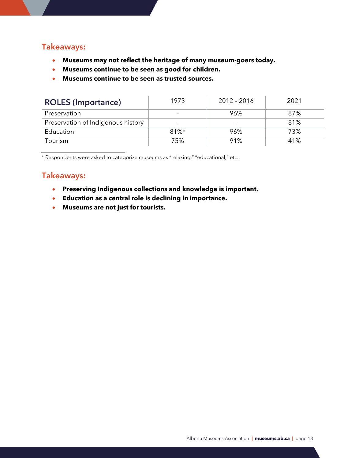#### **Takeaways:**

- **Museums may not reflect the heritage of many museum-goers today.**
- **Museums continue to be seen as good for children.**
- **Museums continue to be seen as trusted sources.**

| <b>ROLES (Importance)</b>          | 1973     | 2012 - 2016              | 2021 |
|------------------------------------|----------|--------------------------|------|
| Preservation                       |          | 96%                      | 87%  |
| Preservation of Indigenous history |          | $\overline{\phantom{0}}$ | 81%  |
| Education                          | $81\%$ * | 96%                      | 73%  |
| Tourism                            | 75%      | 91%                      | 41%  |

\* Respondents were asked to categorize museums as "relaxing," "educational," etc.

#### **Takeaways:**

- **Preserving Indigenous collections and knowledge is important.**
- **Education as a central role is declining in importance.**
- **Museums are not just for tourists.**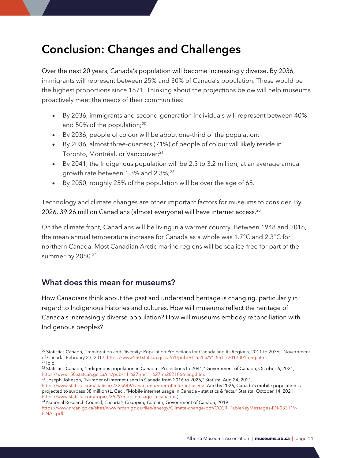### <span id="page-13-0"></span>**Conclusion: Changes and Challenges**

Over the next 20 years, Canada's population will become increasingly diverse. By 2036, immigrants will represent between 25% and 30% of Canada's population. These would be the highest proportions since 1871. Thinking about the projections below will help museums proactively meet the needs of their communities:

- By 2036, immigrants and second-generation individuals will represent between 40% and 50% of the population;<sup>20</sup>
- By 2036, people of colour will be about one-third of the population;
- By 2036, almost three-quarters (71%) of people of colour will likely reside in Toronto, Montréal, or Vancouver;<sup>21</sup>
- By 2041, the Indigenous population will be 2.5 to 3.2 million, at an average annual growth rate between 1.3% and 2.3%;<sup>22</sup>
- By 2050, roughly 25% of the population will be over the age of 65.

Technology and climate changes are other important factors for museums to consider. By 2026, 39.26 million Canadians (almost everyone) will have internet access.<sup>23</sup>

On the climate front, Canadians will be living in a warmer country. Between 1948 and 2016, the mean annual temperature increase for Canada as a whole was 1.7°C and 2.3°C for northern Canada. Most Canadian Arctic marine regions will be sea ice-free for part of the summer by 2050.<sup>24</sup>

#### <span id="page-13-1"></span>**What does this mean for museums?**

How Canadians think about the past and understand heritage is changing, particularly in regard to Indigenous histories and cultures. How will museums reflect the heritage of Canada's increasingly diverse population? How will museums embody reconciliation with Indigenous peoples?

 $^{23}$  Joseph Johnson, "Number of internet users in Canada from 2016 to 2026," Statista, Aug 24, 2021,

[https://www.statista.com/statistics/325649/canada-number-of-internet-users/.](https://www.statista.com/statistics/325649/canada-number-of-internet-users/) And by 2026, Canada's mobile population is projected to surpass 38 million (L. Ceci, "Mobile internet usage in Canada – statistics & facts," Statista, October 14, 2021, [https://www.statista.com/topics/3529/mobile-usage-in-canada/.](https://www.statista.com/topics/3529/mobile-usage-in-canada/))

<sup>24</sup> National Research Council, *Canada's Changing Climate*, Government of Canada, 2019.

[https://www.nrcan.gc.ca/sites/www.nrcan.gc.ca/files/energy/Climate-change/pdf/CCCR\\_TableKeyMessages-EN-033119-](https://www.nrcan.gc.ca/sites/www.nrcan.gc.ca/files/energy/Climate-change/pdf/CCCR_TableKeyMessages-EN-033119-FINAL.pdf) [FINAL.pdf.](https://www.nrcan.gc.ca/sites/www.nrcan.gc.ca/files/energy/Climate-change/pdf/CCCR_TableKeyMessages-EN-033119-FINAL.pdf)

<sup>&</sup>lt;sup>20</sup> Statistics Canada, "Immigration and Diversity: Population Projections for Canada and its Regions, 2011 to 2036," Government of Canada, February 23, 2017[, https://www150.statcan.gc.ca/n1/pub/91-551-x/91-551-x2017001-eng.htm.](https://www150.statcan.gc.ca/n1/pub/91-551-x/91-551-x2017001-eng.htm)  $21$  Ibid.

<sup>&</sup>lt;sup>22</sup> Statistics Canada, "Indigenous population in Canada - Projections to 2041," Government of Canada, October 6, 2021, [https://www150.statcan.gc.ca/n1/pub/11-627-m/11-627-m2021066-eng.htm.](https://www150.statcan.gc.ca/n1/pub/11-627-m/11-627-m2021066-eng.htm)